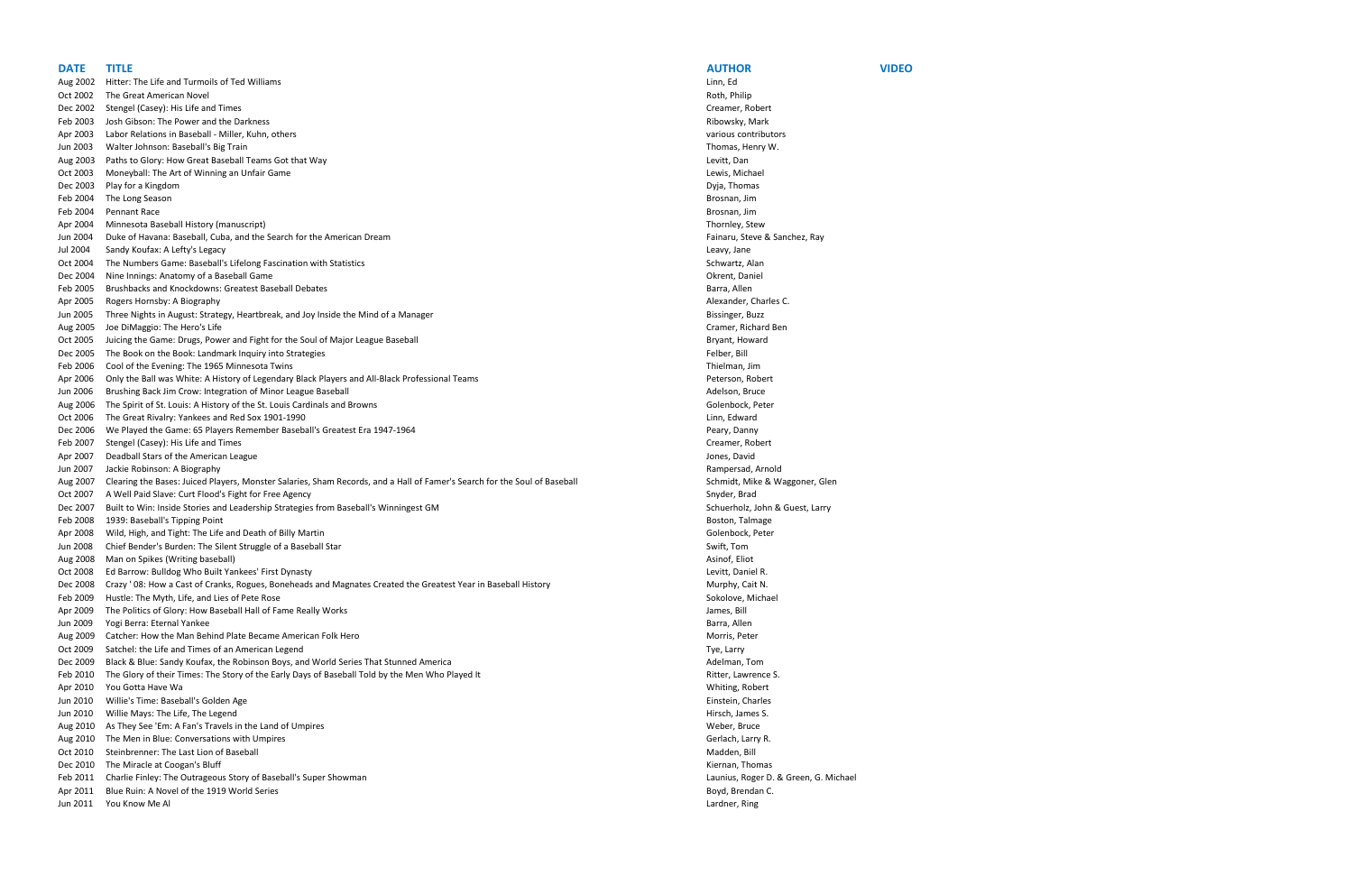| <b>DATE</b> | <b>TITLE</b>                                                                                                              | <b>AUTHOR</b>                         | <b>VIDEO</b> |
|-------------|---------------------------------------------------------------------------------------------------------------------------|---------------------------------------|--------------|
| Aug 2002    | Hitter: The Life and Turmoils of Ted Williams                                                                             | Linn, Ed                              |              |
| Oct 2002    | The Great American Novel                                                                                                  | Roth, Philip                          |              |
| Dec 2002    | Stengel (Casey): His Life and Times                                                                                       | Creamer, Robert                       |              |
| Feb 2003    | Josh Gibson: The Power and the Darkness                                                                                   | Ribowsky, Mark                        |              |
| Apr 2003    | Labor Relations in Baseball - Miller, Kuhn, others                                                                        | various contributors                  |              |
| Jun 2003    | Walter Johnson: Baseball's Big Train                                                                                      | Thomas, Henry W.                      |              |
| Aug 2003    | Paths to Glory: How Great Baseball Teams Got that Way                                                                     | Levitt, Dan                           |              |
| Oct 2003    | Moneyball: The Art of Winning an Unfair Game                                                                              | Lewis, Michael                        |              |
| Dec 2003    | Play for a Kingdom                                                                                                        | Dyja, Thomas                          |              |
| Feb 2004    | The Long Season                                                                                                           | Brosnan, Jim                          |              |
| Feb 2004    | Pennant Race                                                                                                              | Brosnan, Jim                          |              |
| Apr 2004    | Minnesota Baseball History (manuscript)                                                                                   | Thornley, Stew                        |              |
| Jun 2004    | Duke of Havana: Baseball, Cuba, and the Search for the American Dream                                                     | Fainaru, Steve & Sanchez, Ray         |              |
| Jul 2004    | Sandy Koufax: A Lefty's Legacy                                                                                            | Leavy, Jane                           |              |
| Oct 2004    | The Numbers Game: Baseball's Lifelong Fascination with Statistics                                                         | Schwartz, Alan                        |              |
| Dec 2004    | Nine Innings: Anatomy of a Baseball Game                                                                                  | Okrent, Daniel                        |              |
| Feb 2005    | Brushbacks and Knockdowns: Greatest Baseball Debates                                                                      | Barra, Allen                          |              |
| Apr 2005    | Rogers Hornsby: A Biography                                                                                               | Alexander, Charles C.                 |              |
| Jun 2005    | Three Nights in August: Strategy, Heartbreak, and Joy Inside the Mind of a Manager                                        | <b>Bissinger, Buzz</b>                |              |
| Aug 2005    | Joe DiMaggio: The Hero's Life                                                                                             | Cramer, Richard Ben                   |              |
| Oct 2005    | Juicing the Game: Drugs, Power and Fight for the Soul of Major League Baseball                                            | Bryant, Howard                        |              |
| Dec 2005    | The Book on the Book: Landmark Inquiry into Strategies                                                                    | Felber, Bill                          |              |
| Feb 2006    | Cool of the Evening: The 1965 Minnesota Twins                                                                             | Thielman, Jim                         |              |
| Apr 2006    | Only the Ball was White: A History of Legendary Black Players and All-Black Professional Teams                            | Peterson, Robert                      |              |
| Jun 2006    | Brushing Back Jim Crow: Integration of Minor League Baseball                                                              | Adelson, Bruce                        |              |
| Aug 2006    | The Spirit of St. Louis: A History of the St. Louis Cardinals and Browns                                                  | Golenbock, Peter                      |              |
| Oct 2006    | The Great Rivalry: Yankees and Red Sox 1901-1990                                                                          | Linn, Edward                          |              |
| Dec 2006    | We Played the Game: 65 Players Remember Baseball's Greatest Era 1947-1964                                                 | Peary, Danny                          |              |
| Feb 2007    | Stengel (Casey): His Life and Times                                                                                       | Creamer, Robert                       |              |
|             |                                                                                                                           |                                       |              |
| Apr 2007    | Deadball Stars of the American League                                                                                     | Jones, David                          |              |
| Jun 2007    | Jackie Robinson: A Biography                                                                                              | Rampersad, Arnold                     |              |
| Aug 2007    | Clearing the Bases: Juiced Players, Monster Salaries, Sham Records, and a Hall of Famer's Search for the Soul of Baseball | Schmidt, Mike & Waggoner, Glen        |              |
| Oct 2007    | A Well Paid Slave: Curt Flood's Fight for Free Agency                                                                     | Snyder, Brad                          |              |
| Dec 2007    | Built to Win: Inside Stories and Leadership Strategies from Baseball's Winningest GM                                      | Schuerholz, John & Guest, Larry       |              |
| Feb 2008    | 1939: Baseball's Tipping Point                                                                                            | Boston, Talmage                       |              |
| Apr 2008    | Wild, High, and Tight: The Life and Death of Billy Martin                                                                 | Golenbock, Peter                      |              |
| Jun 2008    | Chief Bender's Burden: The Silent Struggle of a Baseball Star                                                             | Swift, Tom                            |              |
| Aug 2008    | Man on Spikes (Writing baseball)                                                                                          | Asinof, Eliot                         |              |
| Oct 2008    | Ed Barrow: Bulldog Who Built Yankees' First Dynasty                                                                       | Levitt, Daniel R.                     |              |
| Dec 2008    | Crazy '08: How a Cast of Cranks, Rogues, Boneheads and Magnates Created the Greatest Year in Baseball History             | Murphy, Cait N.                       |              |
| Feb 2009    | Hustle: The Myth, Life, and Lies of Pete Rose                                                                             | Sokolove, Michael                     |              |
| Apr 2009    | The Politics of Glory: How Baseball Hall of Fame Really Works                                                             | James, Bill                           |              |
| Jun 2009    | Yogi Berra: Eternal Yankee                                                                                                | Barra, Allen                          |              |
| Aug 2009    | Catcher: How the Man Behind Plate Became American Folk Hero                                                               | Morris, Peter                         |              |
| Oct 2009    | Satchel: the Life and Times of an American Legend                                                                         | Tye, Larry                            |              |
| Dec 2009    | Black & Blue: Sandy Koufax, the Robinson Boys, and World Series That Stunned America                                      | Adelman, Tom                          |              |
| Feb 2010    | The Glory of their Times: The Story of the Early Days of Baseball Told by the Men Who Played It                           | Ritter, Lawrence S.                   |              |
| Apr 2010    | You Gotta Have Wa                                                                                                         | Whiting, Robert                       |              |
| Jun 2010    | Willie's Time: Baseball's Golden Age                                                                                      | Einstein, Charles                     |              |
| Jun 2010    | Willie Mays: The Life, The Legend                                                                                         | Hirsch, James S.                      |              |
| Aug 2010    | As They See 'Em: A Fan's Travels in the Land of Umpires                                                                   | Weber, Bruce                          |              |
| Aug 2010    | The Men in Blue: Conversations with Umpires                                                                               | Gerlach, Larry R.                     |              |
| Oct 2010    | Steinbrenner: The Last Lion of Baseball                                                                                   | Madden, Bill                          |              |
| Dec 2010    | The Miracle at Coogan's Bluff                                                                                             | Kiernan, Thomas                       |              |
| Feb 2011    | Charlie Finley: The Outrageous Story of Baseball's Super Showman                                                          | Launius, Roger D. & Green, G. Michael |              |
| Apr 2011    | Blue Ruin: A Novel of the 1919 World Series                                                                               | Boyd, Brendan C.                      |              |
| Jun 2011    | You Know Me Al                                                                                                            | Lardner, Ring                         |              |

## various contributors Fainaru, Steve & Sanchez, Ray Alexander, Charles C. Cramer, Richard Ben Rampersad, Arnold Aug 2007 Clearing the Bases: Soul of Baseball Players, Sham Records, Schmidt, Mike & Waggoner, Glen Schuerholz, John & Guest, Larry Ritter, Lawrence S. Launius, Roger D. & Green, G. Michael Boyd, Brendan C.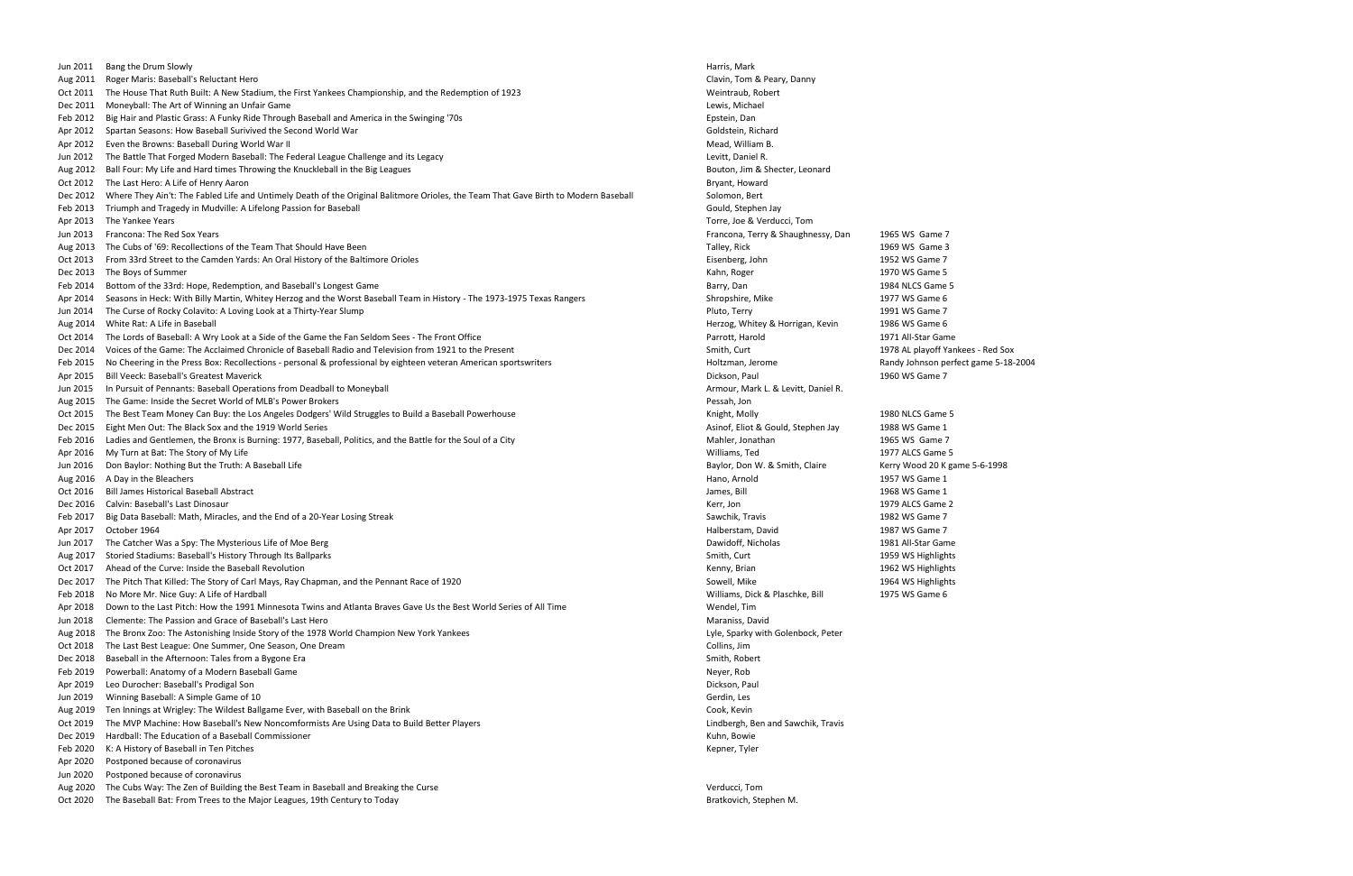| Jun 2011 | Bang the Drum Slowly                                                                                                                | Harris, Mark                        |                     |
|----------|-------------------------------------------------------------------------------------------------------------------------------------|-------------------------------------|---------------------|
| Aug 2011 | Roger Maris: Baseball's Reluctant Hero                                                                                              | Clavin, Tom & Peary, Danny          |                     |
| Oct 2011 | The House That Ruth Built: A New Stadium, the First Yankees Championship, and the Redemption of 1923                                | Weintraub, Robert                   |                     |
| Dec 2011 | Moneyball: The Art of Winning an Unfair Game                                                                                        | Lewis, Michael                      |                     |
| Feb 2012 | Big Hair and Plastic Grass: A Funky Ride Through Baseball and America in the Swinging '70s                                          | Epstein, Dan                        |                     |
| Apr 2012 | Spartan Seasons: How Baseball Surivived the Second World War                                                                        | Goldstein, Richard                  |                     |
| Apr 2012 | Even the Browns: Baseball During World War II                                                                                       | Mead, William B.                    |                     |
| Jun 2012 | The Battle That Forged Modern Baseball: The Federal League Challenge and its Legacy                                                 | Levitt, Daniel R.                   |                     |
| Aug 2012 | Ball Four: My Life and Hard times Throwing the Knuckleball in the Big Leagues                                                       | Bouton, Jim & Shecter, Leonard      |                     |
| Oct 2012 | The Last Hero: A Life of Henry Aaron                                                                                                | Bryant, Howard                      |                     |
| Dec 2012 | Where They Ain't: The Fabled Life and Untimely Death of the Original Balitmore Orioles, the Team That Gave Birth to Modern Baseball | Solomon, Bert                       |                     |
| Feb 2013 | Triumph and Tragedy in Mudville: A Lifelong Passion for Baseball                                                                    | Gould, Stephen Jay                  |                     |
| Apr 2013 | The Yankee Years                                                                                                                    | Torre, Joe & Verducci, Tom          |                     |
| Jun 2013 | Francona: The Red Sox Years                                                                                                         | Francona, Terry & Shaughnessy, Dan  | 1965 WS Game 7      |
| Aug 2013 | The Cubs of '69: Recollections of the Team That Should Have Been                                                                    | Talley, Rick                        | 1969 WS Game 3      |
| Oct 2013 | From 33rd Street to the Camden Yards: An Oral History of the Baltimore Orioles                                                      | Eisenberg, John                     | 1952 WS Game 7      |
| Dec 2013 | The Boys of Summer                                                                                                                  | Kahn, Roger                         | 1970 WS Game 5      |
| Feb 2014 | Bottom of the 33rd: Hope, Redemption, and Baseball's Longest Game                                                                   | Barry, Dan                          | 1984 NLCS Game 5    |
| Apr 2014 | Seasons in Heck: With Billy Martin, Whitey Herzog and the Worst Baseball Team in History - The 1973-1975 Texas Rangers              | Shropshire, Mike                    | 1977 WS Game 6      |
|          |                                                                                                                                     |                                     |                     |
| Jun 2014 | The Curse of Rocky Colavito: A Loving Look at a Thirty-Year Slump                                                                   | Pluto, Terry                        | 1991 WS Game 7      |
| Aug 2014 | White Rat: A Life in Baseball                                                                                                       | Herzog, Whitey & Horrigan, Kevin    | 1986 WS Game 6      |
| Oct 2014 | The Lords of Baseball: A Wry Look at a Side of the Game the Fan Seldom Sees - The Front Office                                      | Parrott, Harold                     | 1971 All-Star Game  |
| Dec 2014 | Voices of the Game: The Acclaimed Chronicle of Baseball Radio and Television from 1921 to the Present                               | Smith, Curt                         | 1978 AL playoff Yar |
| Feb 2015 | No Cheering in the Press Box: Recollections - personal & professional by eighteen veteran American sportswriters                    | Holtzman, Jerome                    | Randy Johnson per   |
| Apr 2015 | <b>Bill Veeck: Baseball's Greatest Maverick</b>                                                                                     | Dickson, Paul                       | 1960 WS Game 7      |
| Jun 2015 | In Pursuit of Pennants: Baseball Operations from Deadball to Moneyball                                                              | Armour, Mark L. & Levitt, Daniel R. |                     |
| Aug 2015 | The Game: Inside the Secret World of MLB's Power Brokers                                                                            | Pessah, Jon                         |                     |
| Oct 2015 | The Best Team Money Can Buy: the Los Angeles Dodgers' Wild Struggles to Build a Baseball Powerhouse                                 | Knight, Molly                       | 1980 NLCS Game 5    |
| Dec 2015 | Eight Men Out: The Black Sox and the 1919 World Series                                                                              | Asinof, Eliot & Gould, Stephen Jay  | 1988 WS Game 1      |
| Feb 2016 | Ladies and Gentlemen, the Bronx is Burning: 1977, Baseball, Politics, and the Battle for the Soul of a City                         | Mahler, Jonathan                    | 1965 WS Game 7      |
| Apr 2016 | My Turn at Bat: The Story of My Life                                                                                                | Williams, Ted                       | 1977 ALCS Game 5    |
| Jun 2016 | Don Baylor: Nothing But the Truth: A Baseball Life                                                                                  | Baylor, Don W. & Smith, Claire      | Kerry Wood 20 K ga  |
| Aug 2016 | A Day in the Bleachers                                                                                                              | Hano, Arnold                        | 1957 WS Game 1      |
| Oct 2016 | <b>Bill James Historical Baseball Abstract</b>                                                                                      | James, Bill                         | 1968 WS Game 1      |
| Dec 2016 | Calvin: Baseball's Last Dinosaur                                                                                                    | Kerr, Jon                           | 1979 ALCS Game 2    |
| Feb 2017 | Big Data Baseball: Math, Miracles, and the End of a 20-Year Losing Streak                                                           | Sawchik, Travis                     | 1982 WS Game 7      |
| Apr 2017 | October 1964                                                                                                                        | Halberstam, David                   | 1987 WS Game 7      |
| Jun 2017 | The Catcher Was a Spy: The Mysterious Life of Moe Berg                                                                              | Dawidoff, Nicholas                  | 1981 All-Star Game  |
| Aug 2017 | Storied Stadiums: Baseball's History Through Its Ballparks                                                                          | Smith, Curt                         | 1959 WS Highlights  |
| Oct 2017 | Ahead of the Curve: Inside the Baseball Revolution                                                                                  | Kenny, Brian                        | 1962 WS Highlights  |
| Dec 2017 | The Pitch That Killed: The Story of Carl Mays, Ray Chapman, and the Pennant Race of 1920                                            | Sowell, Mike                        | 1964 WS Highlights  |
| Feb 2018 | No More Mr. Nice Guy: A Life of Hardball                                                                                            | Williams, Dick & Plaschke, Bill     | 1975 WS Game 6      |
| Apr 2018 | Down to the Last Pitch: How the 1991 Minnesota Twins and Atlanta Braves Gave Us the Best World Series of All Time                   | Wendel, Tim                         |                     |
| Jun 2018 | Clemente: The Passion and Grace of Baseball's Last Hero                                                                             | Maraniss, David                     |                     |
|          |                                                                                                                                     | Lyle, Sparky with Golenbock, Peter  |                     |
| Aug 2018 | The Bronx Zoo: The Astonishing Inside Story of the 1978 World Champion New York Yankees                                             |                                     |                     |
| Oct 2018 | The Last Best League: One Summer, One Season, One Dream                                                                             | Collins, Jim                        |                     |
| Dec 2018 | Baseball in the Afternoon: Tales from a Bygone Era                                                                                  | Smith, Robert                       |                     |
| Feb 2019 | Powerball: Anatomy of a Modern Baseball Game                                                                                        | Neyer, Rob                          |                     |
| Apr 2019 | Leo Durocher: Baseball's Prodigal Son                                                                                               | Dickson, Paul                       |                     |
| Jun 2019 | Winning Baseball: A Simple Game of 10                                                                                               | Gerdin, Les                         |                     |
| Aug 2019 | Ten Innings at Wrigley: The Wildest Ballgame Ever, with Baseball on the Brink                                                       | Cook, Kevin                         |                     |
| Oct 2019 | The MVP Machine: How Baseball's New Noncomformists Are Using Data to Build Better Players                                           | Lindbergh, Ben and Sawchik, Travis  |                     |
| Dec 2019 | Hardball: The Education of a Baseball Commissioner                                                                                  | Kuhn, Bowie                         |                     |
| Feb 2020 | K: A History of Baseball in Ten Pitches                                                                                             | Kepner, Tyler                       |                     |
| Apr 2020 | Postponed because of coronavirus                                                                                                    |                                     |                     |
| Jun 2020 | Postponed because of coronavirus                                                                                                    |                                     |                     |
| Aug 2020 | The Cubs Way: The Zen of Building the Best Team in Baseball and Breaking the Curse                                                  | Verducci, Tom                       |                     |
| Oct 2020 | The Baseball Bat: From Trees to the Major Leagues, 19th Century to Today                                                            | Bratkovich, Stephen M.              |                     |

Clavin, Tom & Peary, Danny Bouton, Jim & Shecter, Leonard Gould, Stephen Jay Torre, Joe & Verducci, Tom Francona, Terry & Shaughnessy, Dan 1965 WS Game 7 Herzog, Whitey & Horrigan, Kevin 1986 WS Game 6 Dec 2014 Voices of the Game: The Acclaimed Chronicle of Baseball Radio and Television from 1921 to the Present Smith, Curt 1978 AL playoff Yankees - Red Sox Feb 2015 Holtzman, Jerome **Erecomican and American american american** berfect game 5-18-2004 Armour, Mark L. & Levitt, Daniel R. Asinof, Eliot & Gould, Stephen Jay 1988 WS Game 1 Baylor, Don W. & Smith, Claire Kerry Wood 20 K game 5-6-1998 Williams, Dick & Plaschke, Bill 1975 WS Game 6 Lyle, Sparky with Golenbock, Peter Lindbergh, Ben and Sawchik, Travis